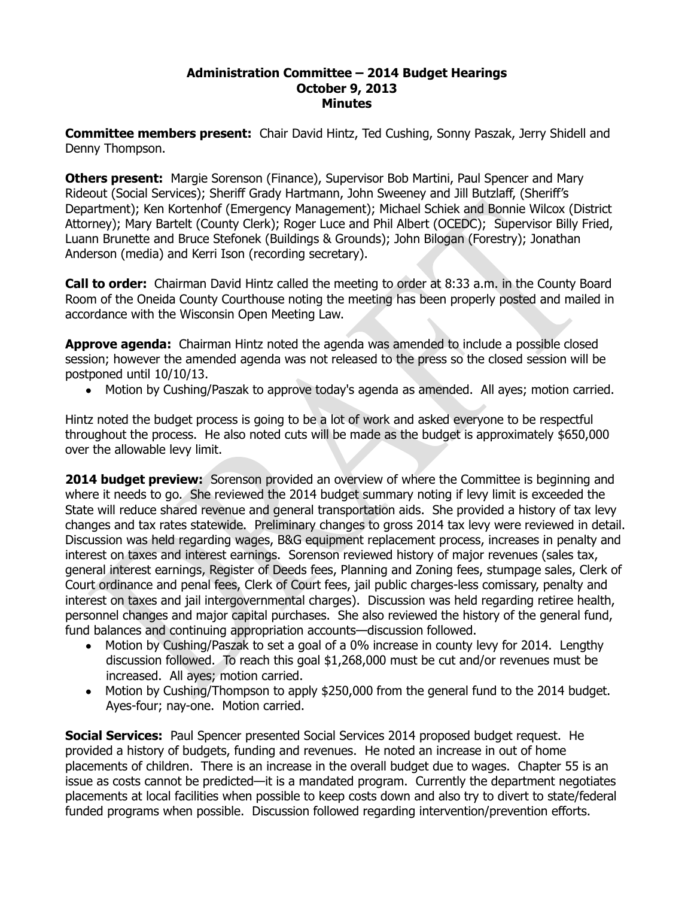## **Administration Committee – 2014 Budget Hearings October 9, 2013 Minutes**

**Committee members present:** Chair David Hintz, Ted Cushing, Sonny Paszak, Jerry Shidell and Denny Thompson.

**Others present:** Margie Sorenson (Finance), Supervisor Bob Martini, Paul Spencer and Mary Rideout (Social Services); Sheriff Grady Hartmann, John Sweeney and Jill Butzlaff, (Sheriff's Department); Ken Kortenhof (Emergency Management); Michael Schiek and Bonnie Wilcox (District Attorney); Mary Bartelt (County Clerk); Roger Luce and Phil Albert (OCEDC); Supervisor Billy Fried, Luann Brunette and Bruce Stefonek (Buildings & Grounds); John Bilogan (Forestry); Jonathan Anderson (media) and Kerri Ison (recording secretary).

**Call to order:** Chairman David Hintz called the meeting to order at 8:33 a.m. in the County Board Room of the Oneida County Courthouse noting the meeting has been properly posted and mailed in accordance with the Wisconsin Open Meeting Law.

**Approve agenda:** Chairman Hintz noted the agenda was amended to include a possible closed session; however the amended agenda was not released to the press so the closed session will be postponed until 10/10/13.

Motion by Cushing/Paszak to approve today's agenda as amended. All ayes; motion carried.

Hintz noted the budget process is going to be a lot of work and asked everyone to be respectful throughout the process. He also noted cuts will be made as the budget is approximately \$650,000 over the allowable levy limit.

**2014 budget preview:** Sorenson provided an overview of where the Committee is beginning and where it needs to go. She reviewed the 2014 budget summary noting if levy limit is exceeded the State will reduce shared revenue and general transportation aids. She provided a history of tax levy changes and tax rates statewide. Preliminary changes to gross 2014 tax levy were reviewed in detail. Discussion was held regarding wages, B&G equipment replacement process, increases in penalty and interest on taxes and interest earnings. Sorenson reviewed history of major revenues (sales tax, general interest earnings, Register of Deeds fees, Planning and Zoning fees, stumpage sales, Clerk of Court ordinance and penal fees, Clerk of Court fees, jail public charges-less comissary, penalty and interest on taxes and jail intergovernmental charges). Discussion was held regarding retiree health, personnel changes and major capital purchases. She also reviewed the history of the general fund, fund balances and continuing appropriation accounts—discussion followed.

- Motion by Cushing/Paszak to set a goal of a 0% increase in county levy for 2014. Lengthy discussion followed. To reach this goal \$1,268,000 must be cut and/or revenues must be increased. All ayes; motion carried.
- Motion by Cushing/Thompson to apply \$250,000 from the general fund to the 2014 budget. Ayes-four; nay-one. Motion carried.

**Social Services:** Paul Spencer presented Social Services 2014 proposed budget request. He provided a history of budgets, funding and revenues. He noted an increase in out of home placements of children. There is an increase in the overall budget due to wages. Chapter 55 is an issue as costs cannot be predicted—it is a mandated program. Currently the department negotiates placements at local facilities when possible to keep costs down and also try to divert to state/federal funded programs when possible. Discussion followed regarding intervention/prevention efforts.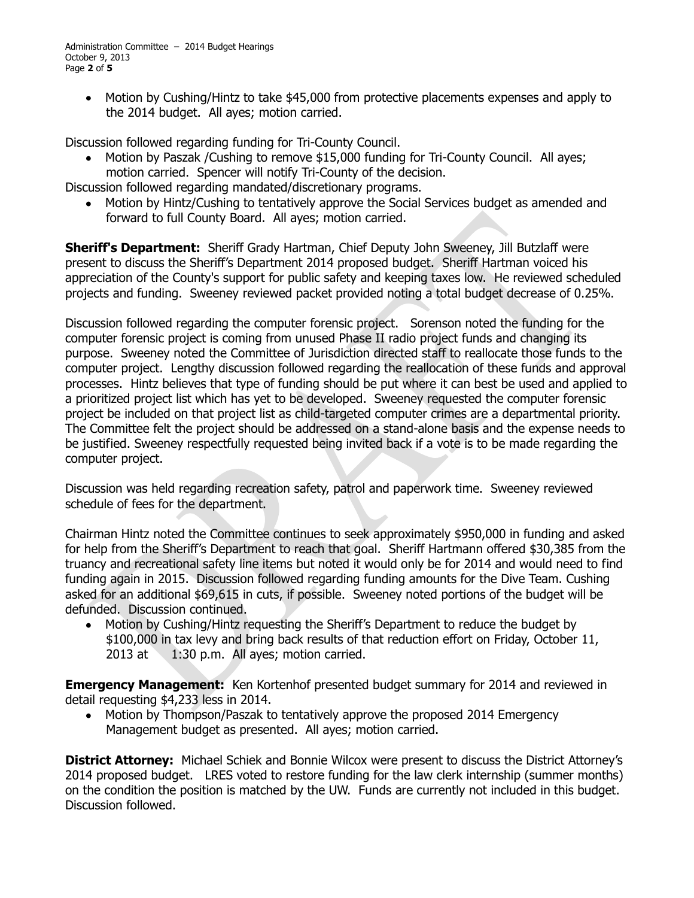Administration Committee – 2014 Budget Hearings October 9, 2013 Page **2** of **5**

Motion by Cushing/Hintz to take \$45,000 from protective placements expenses and apply to  $\bullet$ the 2014 budget. All ayes; motion carried.

Discussion followed regarding funding for Tri-County Council.

Motion by Paszak /Cushing to remove \$15,000 funding for Tri-County Council. All ayes; motion carried. Spencer will notify Tri-County of the decision.

Discussion followed regarding mandated/discretionary programs.

Motion by Hintz/Cushing to tentatively approve the Social Services budget as amended and forward to full County Board. All ayes; motion carried.

**Sheriff's Department:** Sheriff Grady Hartman, Chief Deputy John Sweeney, Jill Butzlaff were present to discuss the Sheriff's Department 2014 proposed budget. Sheriff Hartman voiced his appreciation of the County's support for public safety and keeping taxes low. He reviewed scheduled projects and funding. Sweeney reviewed packet provided noting a total budget decrease of 0.25%.

Discussion followed regarding the computer forensic project. Sorenson noted the funding for the computer forensic project is coming from unused Phase II radio project funds and changing its purpose. Sweeney noted the Committee of Jurisdiction directed staff to reallocate those funds to the computer project. Lengthy discussion followed regarding the reallocation of these funds and approval processes. Hintz believes that type of funding should be put where it can best be used and applied to a prioritized project list which has yet to be developed. Sweeney requested the computer forensic project be included on that project list as child-targeted computer crimes are a departmental priority. The Committee felt the project should be addressed on a stand-alone basis and the expense needs to be justified. Sweeney respectfully requested being invited back if a vote is to be made regarding the computer project.

Discussion was held regarding recreation safety, patrol and paperwork time. Sweeney reviewed schedule of fees for the department.

Chairman Hintz noted the Committee continues to seek approximately \$950,000 in funding and asked for help from the Sheriff's Department to reach that goal. Sheriff Hartmann offered \$30,385 from the truancy and recreational safety line items but noted it would only be for 2014 and would need to find funding again in 2015. Discussion followed regarding funding amounts for the Dive Team. Cushing asked for an additional \$69,615 in cuts, if possible. Sweeney noted portions of the budget will be defunded. Discussion continued.

Motion by Cushing/Hintz requesting the Sheriff's Department to reduce the budget by  $\bullet$ \$100,000 in tax levy and bring back results of that reduction effort on Friday, October 11, 2013 at 1:30 p.m. All ayes; motion carried.

**Emergency Management:** Ken Kortenhof presented budget summary for 2014 and reviewed in detail requesting \$4,233 less in 2014.

Motion by Thompson/Paszak to tentatively approve the proposed 2014 Emergency  $\bullet$ Management budget as presented. All ayes; motion carried.

**District Attorney:** Michael Schiek and Bonnie Wilcox were present to discuss the District Attorney's 2014 proposed budget. LRES voted to restore funding for the law clerk internship (summer months) on the condition the position is matched by the UW. Funds are currently not included in this budget. Discussion followed.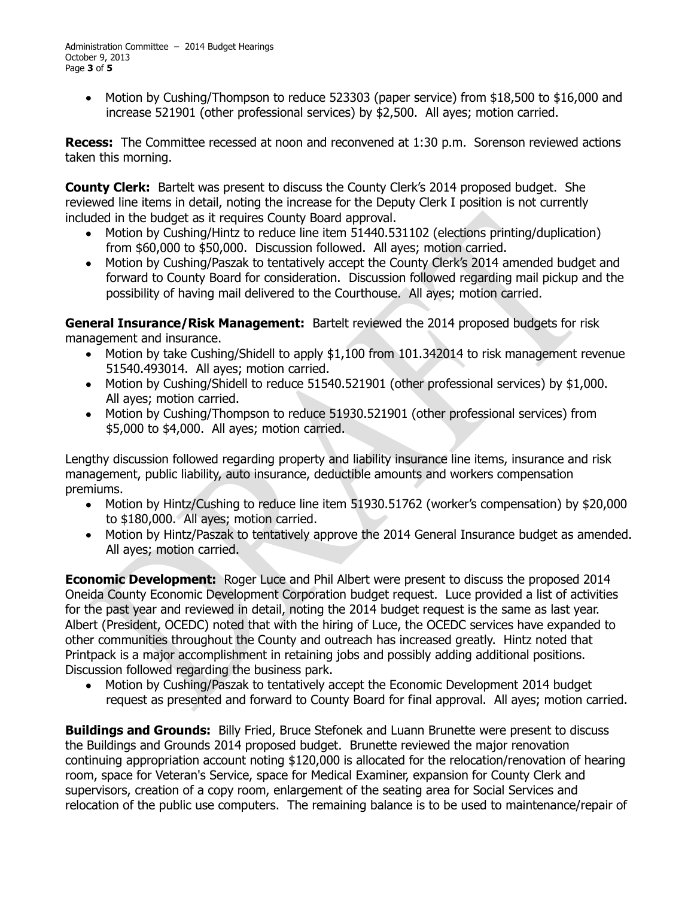Motion by Cushing/Thompson to reduce 523303 (paper service) from \$18,500 to \$16,000 and increase 521901 (other professional services) by \$2,500. All ayes; motion carried.

**Recess:** The Committee recessed at noon and reconvened at 1:30 p.m. Sorenson reviewed actions taken this morning.

**County Clerk:** Bartelt was present to discuss the County Clerk's 2014 proposed budget. She reviewed line items in detail, noting the increase for the Deputy Clerk I position is not currently included in the budget as it requires County Board approval.

- Motion by Cushing/Hintz to reduce line item 51440.531102 (elections printing/duplication) from \$60,000 to \$50,000. Discussion followed. All ayes; motion carried.
- Motion by Cushing/Paszak to tentatively accept the County Clerk's 2014 amended budget and  $\bullet$ forward to County Board for consideration. Discussion followed regarding mail pickup and the possibility of having mail delivered to the Courthouse. All ayes; motion carried.

**General Insurance/Risk Management:** Bartelt reviewed the 2014 proposed budgets for risk management and insurance.

- Motion by take Cushing/Shidell to apply \$1,100 from 101.342014 to risk management revenue 51540.493014. All ayes; motion carried.
- Motion by Cushing/Shidell to reduce 51540.521901 (other professional services) by \$1,000. All ayes; motion carried.
- Motion by Cushing/Thompson to reduce 51930.521901 (other professional services) from \$5,000 to \$4,000. All ayes; motion carried.

Lengthy discussion followed regarding property and liability insurance line items, insurance and risk management, public liability, auto insurance, deductible amounts and workers compensation premiums.

- Motion by Hintz/Cushing to reduce line item 51930.51762 (worker's compensation) by \$20,000 to \$180,000. All ayes; motion carried.
- Motion by Hintz/Paszak to tentatively approve the 2014 General Insurance budget as amended. All ayes; motion carried.

**Economic Development:** Roger Luce and Phil Albert were present to discuss the proposed 2014 Oneida County Economic Development Corporation budget request. Luce provided a list of activities for the past year and reviewed in detail, noting the 2014 budget request is the same as last year. Albert (President, OCEDC) noted that with the hiring of Luce, the OCEDC services have expanded to other communities throughout the County and outreach has increased greatly. Hintz noted that Printpack is a major accomplishment in retaining jobs and possibly adding additional positions. Discussion followed regarding the business park.

 $\bullet$ Motion by Cushing/Paszak to tentatively accept the Economic Development 2014 budget request as presented and forward to County Board for final approval. All ayes; motion carried.

**Buildings and Grounds:** Billy Fried, Bruce Stefonek and Luann Brunette were present to discuss the Buildings and Grounds 2014 proposed budget. Brunette reviewed the major renovation continuing appropriation account noting \$120,000 is allocated for the relocation/renovation of hearing room, space for Veteran's Service, space for Medical Examiner, expansion for County Clerk and supervisors, creation of a copy room, enlargement of the seating area for Social Services and relocation of the public use computers. The remaining balance is to be used to maintenance/repair of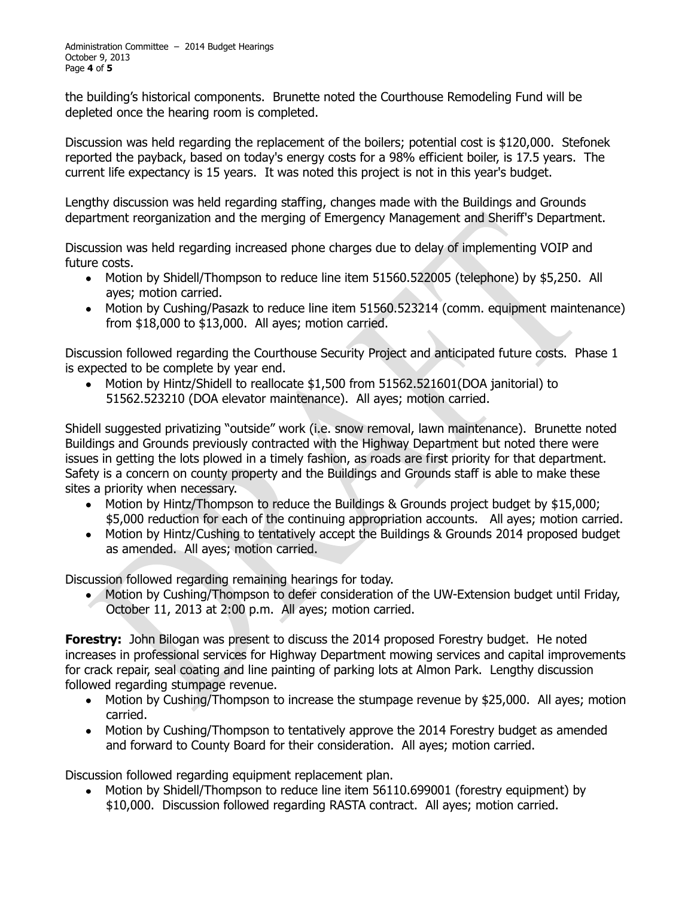the building's historical components. Brunette noted the Courthouse Remodeling Fund will be depleted once the hearing room is completed.

Discussion was held regarding the replacement of the boilers; potential cost is \$120,000. Stefonek reported the payback, based on today's energy costs for a 98% efficient boiler, is 17.5 years. The current life expectancy is 15 years. It was noted this project is not in this year's budget.

Lengthy discussion was held regarding staffing, changes made with the Buildings and Grounds department reorganization and the merging of Emergency Management and Sheriff's Department.

Discussion was held regarding increased phone charges due to delay of implementing VOIP and future costs.

- Motion by Shidell/Thompson to reduce line item 51560.522005 (telephone) by \$5,250. All ayes; motion carried.
- Motion by Cushing/Pasazk to reduce line item 51560.523214 (comm. equipment maintenance) from \$18,000 to \$13,000. All ayes; motion carried.

Discussion followed regarding the Courthouse Security Project and anticipated future costs. Phase 1 is expected to be complete by year end.

Motion by Hintz/Shidell to reallocate \$1,500 from 51562.521601(DOA janitorial) to 51562.523210 (DOA elevator maintenance). All ayes; motion carried.

Shidell suggested privatizing "outside" work (i.e. snow removal, lawn maintenance). Brunette noted Buildings and Grounds previously contracted with the Highway Department but noted there were issues in getting the lots plowed in a timely fashion, as roads are first priority for that department. Safety is a concern on county property and the Buildings and Grounds staff is able to make these sites a priority when necessary.

- Motion by Hintz/Thompson to reduce the Buildings & Grounds project budget by \$15,000; \$5,000 reduction for each of the continuing appropriation accounts. All ayes; motion carried.
- Motion by Hintz/Cushing to tentatively accept the Buildings & Grounds 2014 proposed budget as amended. All ayes; motion carried.

Discussion followed regarding remaining hearings for today.

Motion by Cushing/Thompson to defer consideration of the UW-Extension budget until Friday,  $\bullet$ October 11, 2013 at 2:00 p.m. All ayes; motion carried.

**Forestry:** John Bilogan was present to discuss the 2014 proposed Forestry budget. He noted increases in professional services for Highway Department mowing services and capital improvements for crack repair, seal coating and line painting of parking lots at Almon Park. Lengthy discussion followed regarding stumpage revenue.

- Motion by Cushing/Thompson to increase the stumpage revenue by \$25,000. All ayes; motion carried.
- Motion by Cushing/Thompson to tentatively approve the 2014 Forestry budget as amended  $\bullet$ and forward to County Board for their consideration. All ayes; motion carried.

Discussion followed regarding equipment replacement plan.

Motion by Shidell/Thompson to reduce line item 56110.699001 (forestry equipment) by \$10,000. Discussion followed regarding RASTA contract. All ayes; motion carried.